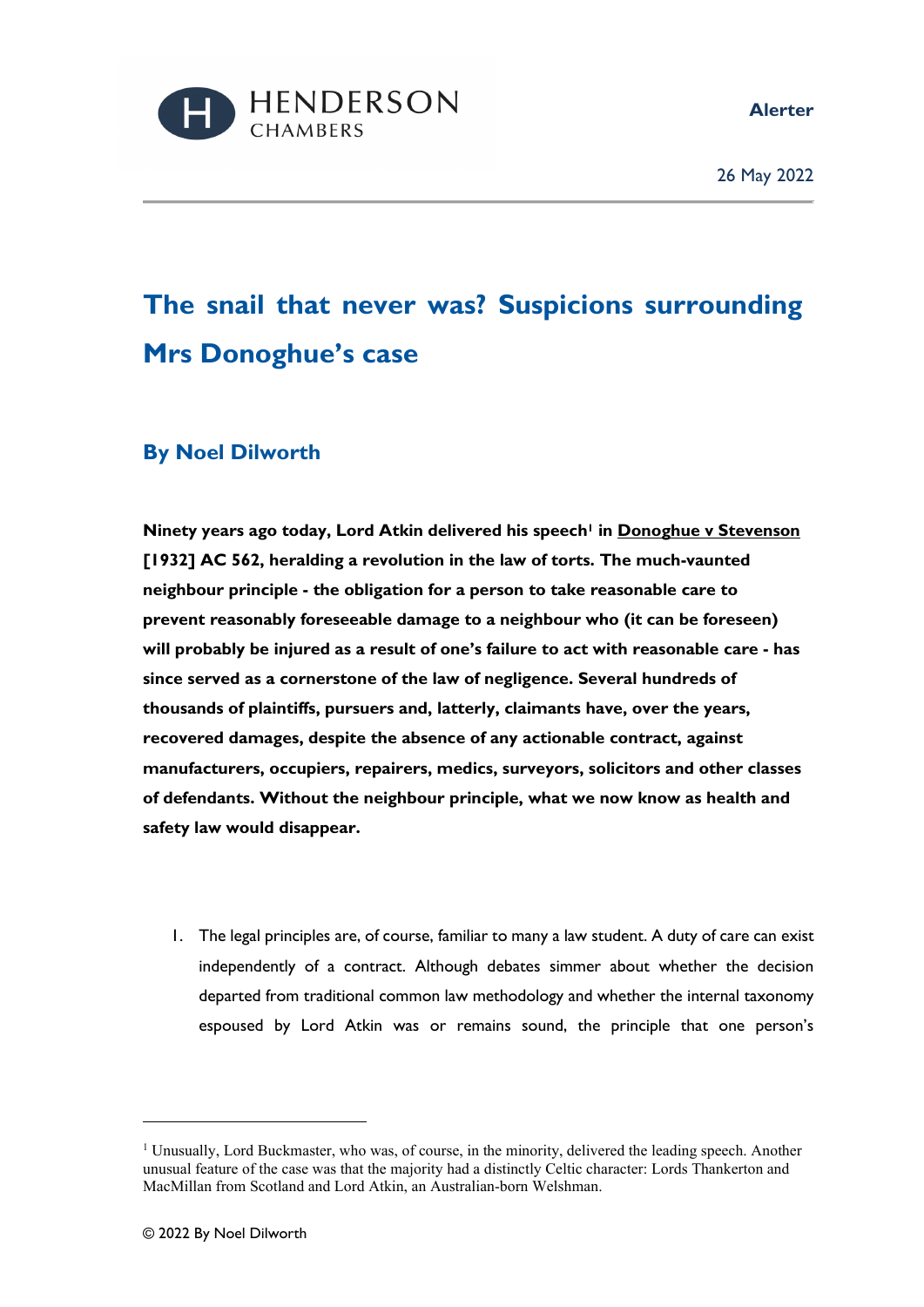**Alerter** 



26 May 2022

## **The snail that never was? Suspicions surrounding Mrs Donoghue's case**

## **By Noel Dilworth**

**Ninety years ago today, Lord Atkin delivered his speech1 in Donoghue v Stevenson [1932] AC 562, heralding a revolution in the law of torts. The much-vaunted neighbour principle - the obligation for a person to take reasonable care to prevent reasonably foreseeable damage to a neighbour who (it can be foreseen) will probably be injured as a result of one's failure to act with reasonable care - has since served as a cornerstone of the law of negligence. Several hundreds of thousands of plaintiffs, pursuers and, latterly, claimants have, over the years, recovered damages, despite the absence of any actionable contract, against manufacturers, occupiers, repairers, medics, surveyors, solicitors and other classes of defendants. Without the neighbour principle, what we now know as health and safety law would disappear.** 

1. The legal principles are, of course, familiar to many a law student. A duty of care can exist independently of a contract. Although debates simmer about whether the decision departed from traditional common law methodology and whether the internal taxonomy espoused by Lord Atkin was or remains sound, the principle that one person's

<sup>&</sup>lt;sup>1</sup> Unusually, Lord Buckmaster, who was, of course, in the minority, delivered the leading speech. Another unusual feature of the case was that the majority had a distinctly Celtic character: Lords Thankerton and MacMillan from Scotland and Lord Atkin, an Australian-born Welshman.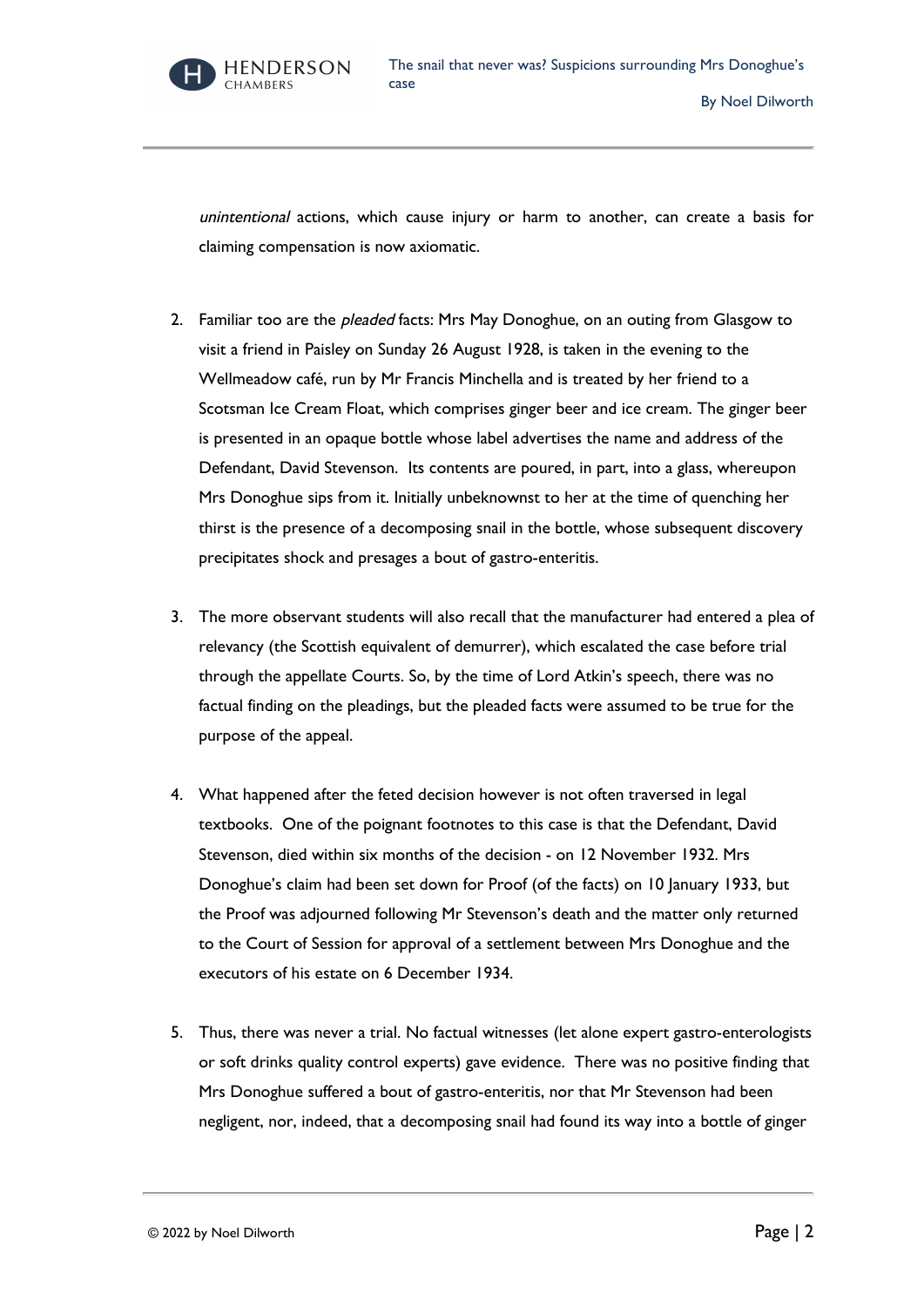

unintentional actions, which cause injury or harm to another, can create a basis for claiming compensation is now axiomatic.

- 2. Familiar too are the *pleaded* facts: Mrs May Donoghue, on an outing from Glasgow to visit a friend in Paisley on Sunday 26 August 1928, is taken in the evening to the Wellmeadow café, run by Mr Francis Minchella and is treated by her friend to a Scotsman Ice Cream Float, which comprises ginger beer and ice cream. The ginger beer is presented in an opaque bottle whose label advertises the name and address of the Defendant, David Stevenson. Its contents are poured, in part, into a glass, whereupon Mrs Donoghue sips from it. Initially unbeknownst to her at the time of quenching her thirst is the presence of a decomposing snail in the bottle, whose subsequent discovery precipitates shock and presages a bout of gastro-enteritis.
- 3. The more observant students will also recall that the manufacturer had entered a plea of relevancy (the Scottish equivalent of demurrer), which escalated the case before trial through the appellate Courts. So, by the time of Lord Atkin's speech, there was no factual finding on the pleadings, but the pleaded facts were assumed to be true for the purpose of the appeal.
- 4. What happened after the feted decision however is not often traversed in legal textbooks. One of the poignant footnotes to this case is that the Defendant, David Stevenson, died within six months of the decision - on 12 November 1932. Mrs Donoghue's claim had been set down for Proof (of the facts) on 10 January 1933, but the Proof was adjourned following Mr Stevenson's death and the matter only returned to the Court of Session for approval of a settlement between Mrs Donoghue and the executors of his estate on 6 December 1934.
- 5. Thus, there was never a trial. No factual witnesses (let alone expert gastro-enterologists or soft drinks quality control experts) gave evidence. There was no positive finding that Mrs Donoghue suffered a bout of gastro-enteritis, nor that Mr Stevenson had been negligent, nor, indeed, that a decomposing snail had found its way into a bottle of ginger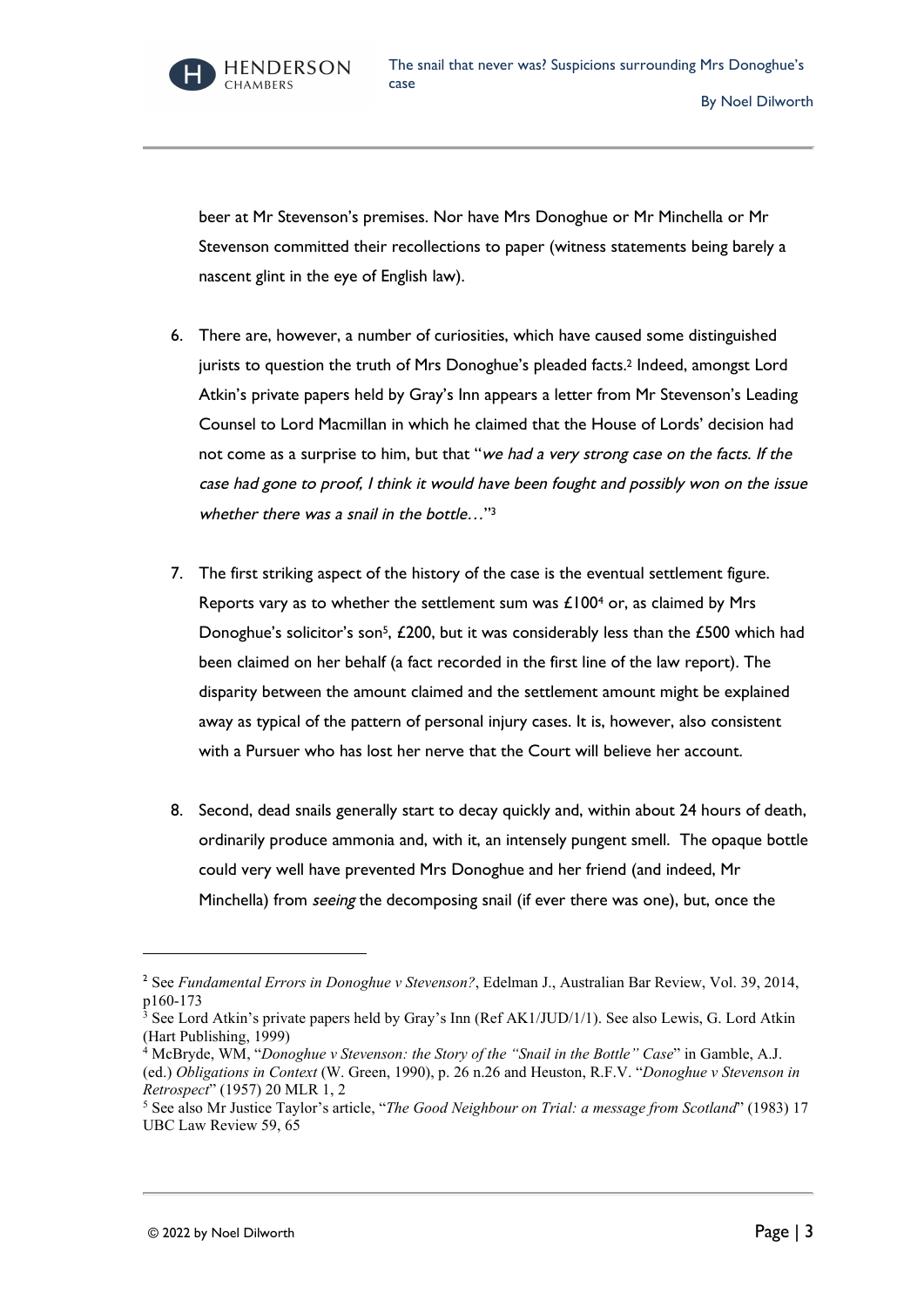**HENDERSON CHAMBERS** 

beer at Mr Stevenson's premises. Nor have Mrs Donoghue or Mr Minchella or Mr Stevenson committed their recollections to paper (witness statements being barely a nascent glint in the eye of English law).

- 6. There are, however, a number of curiosities, which have caused some distinguished jurists to question the truth of Mrs Donoghue's pleaded facts.2 Indeed, amongst Lord Atkin's private papers held by Gray's Inn appears a letter from Mr Stevenson's Leading Counsel to Lord Macmillan in which he claimed that the House of Lords' decision had not come as a surprise to him, but that "we had a very strong case on the facts. If the case had gone to proof, I think it would have been fought and possibly won on the issue whether there was a snail in the bottle..."<sup>3</sup>
- 7. The first striking aspect of the history of the case is the eventual settlement figure. Reports vary as to whether the settlement sum was  $£1004$  or, as claimed by Mrs Donoghue's solicitor's son<sup>5</sup>, £200, but it was considerably less than the £500 which had been claimed on her behalf (a fact recorded in the first line of the law report). The disparity between the amount claimed and the settlement amount might be explained away as typical of the pattern of personal injury cases. It is, however, also consistent with a Pursuer who has lost her nerve that the Court will believe her account.
- 8. Second, dead snails generally start to decay quickly and, within about 24 hours of death, ordinarily produce ammonia and, with it, an intensely pungent smell. The opaque bottle could very well have prevented Mrs Donoghue and her friend (and indeed, Mr Minchella) from *seeing* the decomposing snail (if ever there was one), but, once the

<sup>2</sup> See *Fundamental Errors in Donoghue v Stevenson?*, Edelman J., Australian Bar Review, Vol. 39, 2014, p160-173

<sup>3</sup> See Lord Atkin's private papers held by Gray's Inn (Ref AK1/JUD/1/1). See also Lewis, G. Lord Atkin (Hart Publishing, 1999)

<sup>4</sup> McBryde, WM, "*Donoghue v Stevenson: the Story of the "Snail in the Bottle" Case*" in Gamble, A.J. (ed.) *Obligations in Context* (W. Green, 1990), p. 26 n.26 and Heuston, R.F.V. "*Donoghue v Stevenson in Retrospect*" (1957) 20 MLR 1, 2

<sup>5</sup> See also Mr Justice Taylor's article, "*The Good Neighbour on Trial: a message from Scotland*" (1983) 17 UBC Law Review 59, 65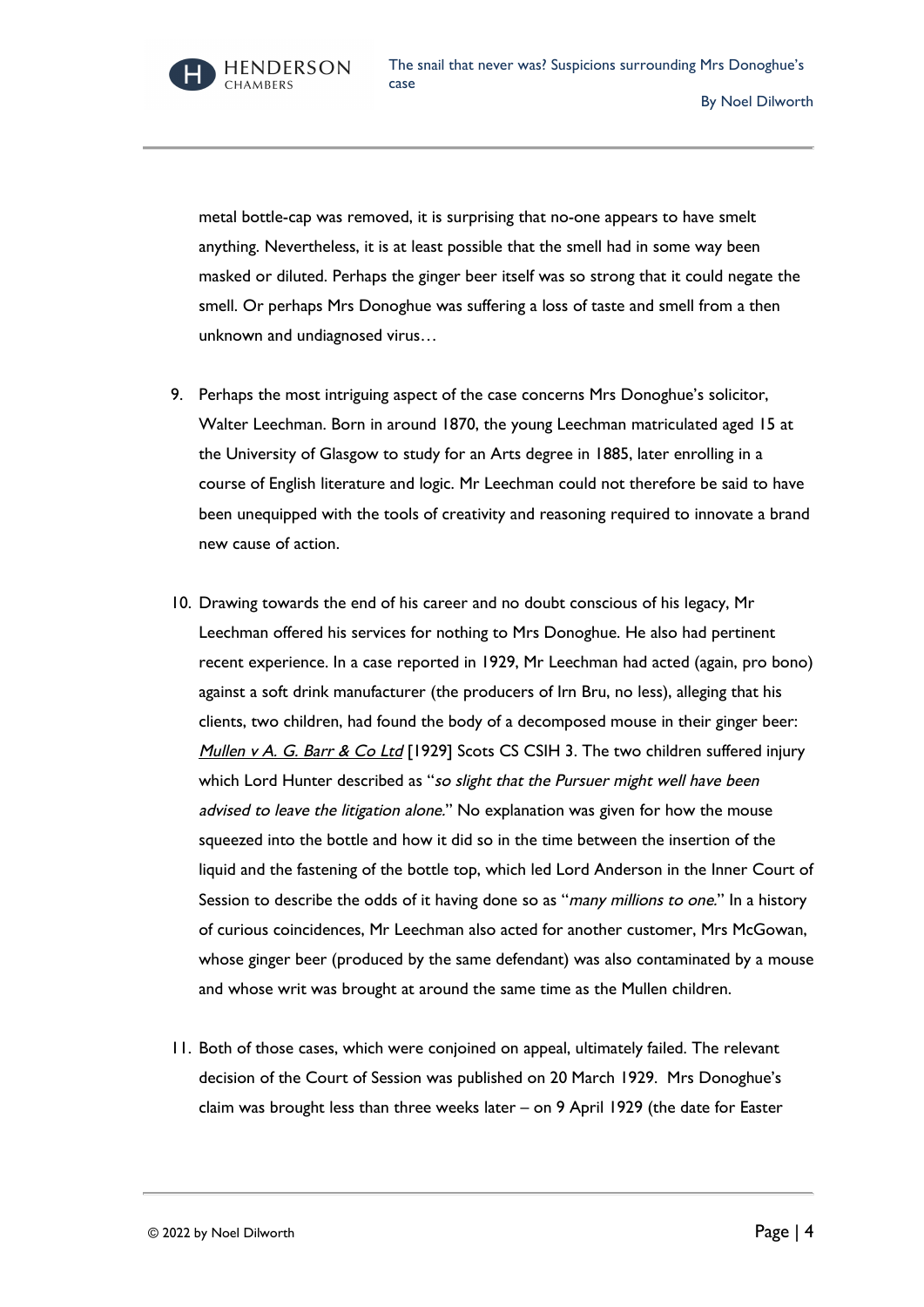**HENDERSON** CHAMRERS

metal bottle-cap was removed, it is surprising that no-one appears to have smelt anything. Nevertheless, it is at least possible that the smell had in some way been masked or diluted. Perhaps the ginger beer itself was so strong that it could negate the smell. Or perhaps Mrs Donoghue was suffering a loss of taste and smell from a then unknown and undiagnosed virus…

- 9. Perhaps the most intriguing aspect of the case concerns Mrs Donoghue's solicitor, Walter Leechman. Born in around 1870, the young Leechman matriculated aged 15 at the University of Glasgow to study for an Arts degree in 1885, later enrolling in a course of English literature and logic. Mr Leechman could not therefore be said to have been unequipped with the tools of creativity and reasoning required to innovate a brand new cause of action.
- 10. Drawing towards the end of his career and no doubt conscious of his legacy, Mr Leechman offered his services for nothing to Mrs Donoghue. He also had pertinent recent experience. In a case reported in 1929, Mr Leechman had acted (again, pro bono) against a soft drink manufacturer (the producers of Irn Bru, no less), alleging that his clients, two children, had found the body of a decomposed mouse in their ginger beer: Mullen v A. G. Barr & Co Ltd [1929] Scots CS CSIH 3. The two children suffered injury which Lord Hunter described as "so slight that the Pursuer might well have been advised to leave the litigation alone." No explanation was given for how the mouse squeezed into the bottle and how it did so in the time between the insertion of the liquid and the fastening of the bottle top, which led Lord Anderson in the Inner Court of Session to describe the odds of it having done so as "many millions to one." In a history of curious coincidences, Mr Leechman also acted for another customer, Mrs McGowan, whose ginger beer (produced by the same defendant) was also contaminated by a mouse and whose writ was brought at around the same time as the Mullen children.
- 11. Both of those cases, which were conjoined on appeal, ultimately failed. The relevant decision of the Court of Session was published on 20 March 1929. Mrs Donoghue's claim was brought less than three weeks later – on 9 April 1929 (the date for Easter